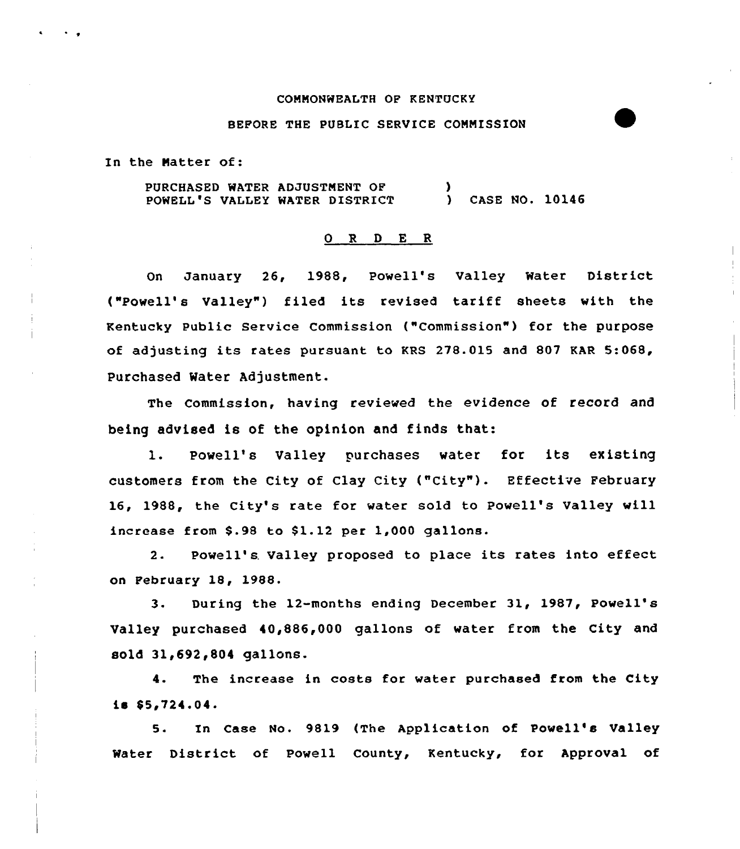### COMMONWEALTH OF KENTUCKY

## BEFORE THE PUBLIC SERVICE COMMISSION

In the Matter of:

PURCHASED WATER ADJUSTMENT OF POWELL'S VALLEY WATER DISTRICT ) ) CASE NO. 10146

### ORDER

On January 26, 1988, Powell's Valley Water District ("Powell's Valley") filed its revised tariff sheets with the Kentucky public Service Commission ("Commission" ) for the purpose of adjusting its rates pursuant to KRS 278.015 and 807 KAR 5:068, Purchased Water Adjustment.

The Commission, having reviewed the evidence of record and being advised is of the opinion and finds that:

l. Powell's Valley purchases water for its existing customers from the City of Clay City ("City" ). Effective February 16, 1988, the City's rate for water sold to Powell's Valley will increase from \$.98 to \$1.12 per  $1,000$  gallons.

2. Powell's. Valley proposed to place its rates into effect on February 18, 1988.

3. During the 12-months ending December 31, 1987, Powell's Valley purchased 40,886,000 gallons of water from the City and sold 31,692,804 gallons.

4. The increase in costs for water purchased from the City  $18$  \$5,724.04.

5. In Case No. 9819 (The Application of Powell's Valley Water District of Powell County, Kentucky, for Approval of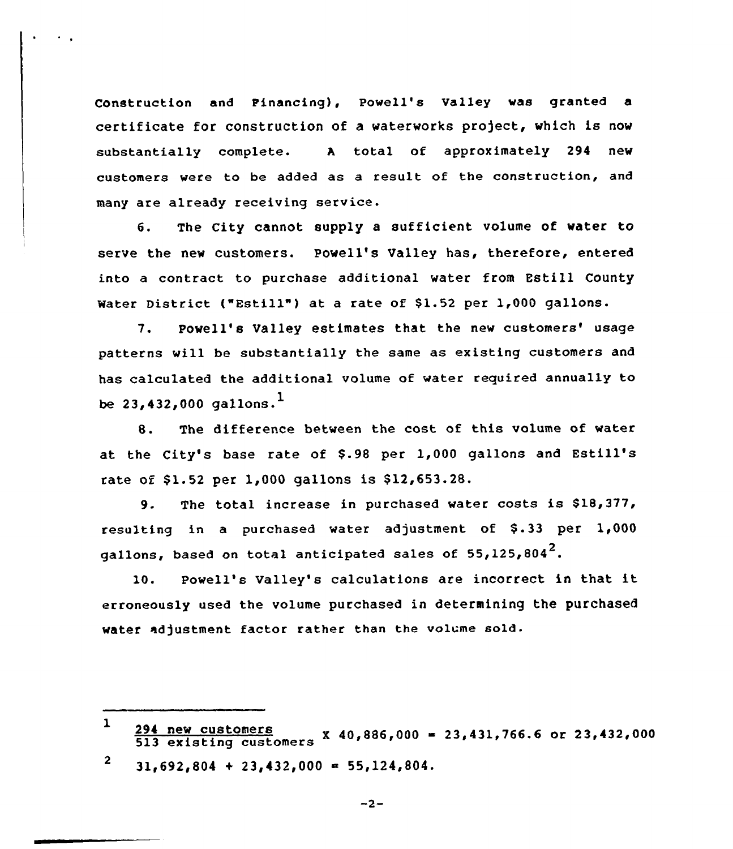Construction and Pinancing), Powell's Valley was granted a certificate for construction of a waterworks project, which is now substantially complete. <sup>A</sup> total of approximately 294 new customers were to be added as a result of the construction, and many are already receiving service.

6. The City cannot supply a sufficient volume of water to serve the new customers. Powell's Valley has, therefore, entered into a contract to purchase additional water from Estill County Water District ("Estill") at a rate of \$1.52 per 1,000 gallons.

7. Powell's Valley estimates that the new customers' usage patterns will be substantially the same as existing customers and has calculated the additional volume of water required annually to be  $23,432,000$  gallons.<sup>1</sup>

8. The difference between the cost of this volume of water at the City's base rate of \$.98 per 1,000 gallons and Estill's rate of \$1.52 per 1,000 gallons is \$12,653.28.

9. The total increase in purchased water costs is \$18,377, resulting in a purchased water adjustment of  $$.33$  per  $1,000$ gallons, based on total anticipated sales of  $55,125,804^2$ .

10. Powell's Valley's calculations are incorrect in that it erroneously used the volume purchased in determining the purchased water adjustment factor rather than the volume sold.

 $-2-$ 

 $\mathbf{1}$  $\frac{227 \text{ m/s}}{513}$  existing customers X 40,886,000 = 23,431,766.6 or 23,432,000

 $\boldsymbol{2}$  $31,692,804 + 23,432,000 = 55,124,804.$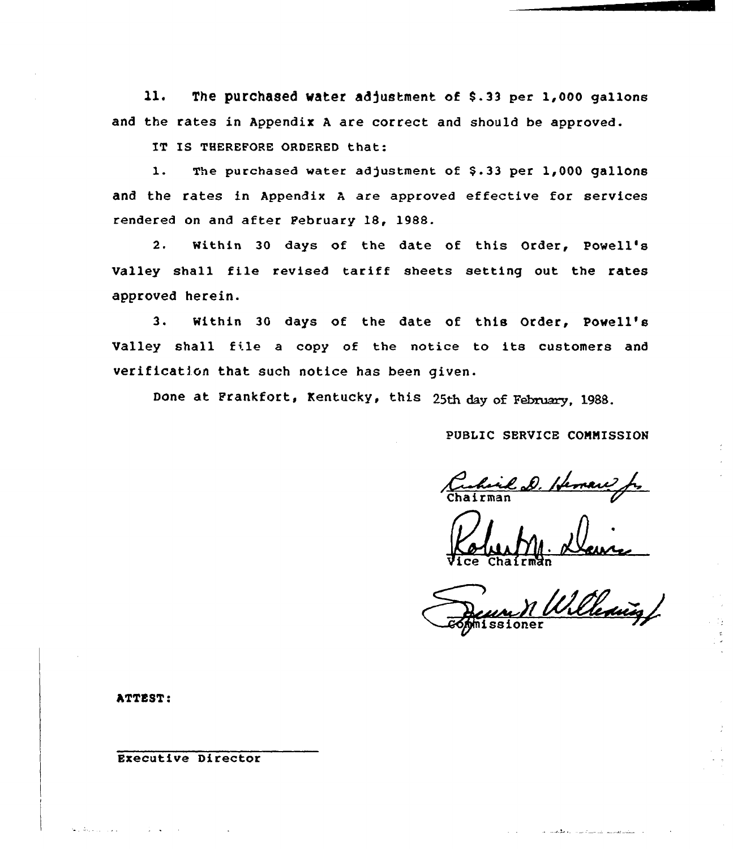11. The purchased water adjustment of \$.33 per 1,000 gallons and the rates in Appendix <sup>A</sup> are correct and should be approved.

IT IS THEREFORE ORDERED that:

1. The purchased water adjustment of \$.33 per 1,000 gallons and the rates in Appendix <sup>A</sup> are approved effective for services rendered on and after Pebruary 18, 1988.

2. Within 30 days of the date of this Order, Powell's Valley shall file revised tariff sheets setting out the rates approved herein.

3. within 30 days of the date of this Order, Powell's Valley shall file <sup>a</sup> copy of the notice to its customers and verification that such notice has been given.

Done at Frankfort, Kentucky, this 25th day of February, 1988.

PUBLIC SERVICE CONNISSION

Vice  $K$ oluity Chairma

-<br>Delening ssione

التقديم وتربيب المراسية فالمراد الروابط وتناسبات

ATTEST:

الولود المراقبة وعا

Executive Director